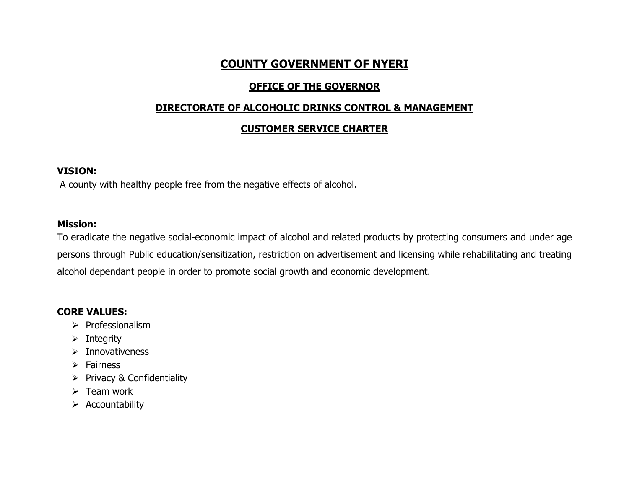# **COUNTY GOVERNMENT OF NYERI**

## **OFFICE OF THE GOVERNOR**

### **DIRECTORATE OF ALCOHOLIC DRINKS CONTROL & MANAGEMENT**

### **CUSTOMER SERVICE CHARTER**

#### **VISION:**

A county with healthy people free from the negative effects of alcohol.

### **Mission:**

To eradicate the negative social-economic impact of alcohol and related products by protecting consumers and under age persons through Public education/sensitization, restriction on advertisement and licensing while rehabilitating and treating alcohol dependant people in order to promote social growth and economic development.

## **CORE VALUES:**

- ➢ Professionalism
- $\triangleright$  Integrity
- ➢ Innovativeness
- ➢ Fairness
- ➢ Privacy & Confidentiality
- $\triangleright$  Team work
- ➢ Accountability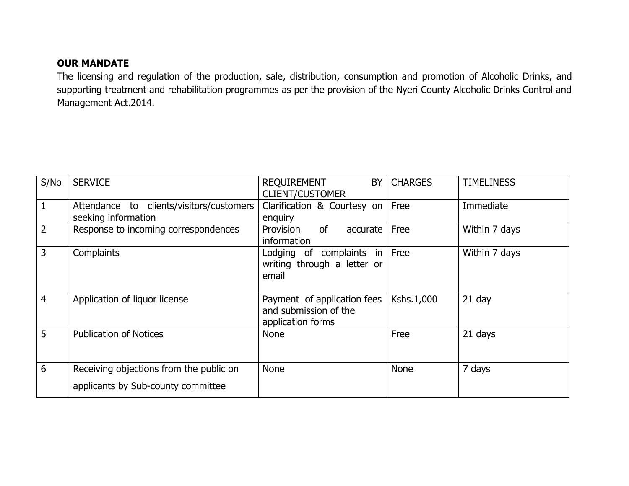## **OUR MANDATE**

The licensing and regulation of the production, sale, distribution, consumption and promotion of Alcoholic Drinks, and supporting treatment and rehabilitation programmes as per the provision of the Nyeri County Alcoholic Drinks Control and Management Act.2014.

| S/No           | <b>SERVICE</b>                                                                | REQUIREMENT<br>BY<br><b>CLIENT/CUSTOMER</b>                               | <b>CHARGES</b> | <b>TIMELINESS</b> |
|----------------|-------------------------------------------------------------------------------|---------------------------------------------------------------------------|----------------|-------------------|
| 1              | Attendance to clients/visitors/customers<br>seeking information               | Clarification & Courtesy on<br>enguiry                                    | Free           | Immediate         |
| $\overline{2}$ | Response to incoming correspondences                                          | of<br>Provision<br>accurate<br>information                                | Free           | Within 7 days     |
| 3              | Complaints                                                                    | Lodging of complaints in<br>writing through a letter or<br>email          | Free           | Within 7 days     |
| 4              | Application of liquor license                                                 | Payment of application fees<br>and submission of the<br>application forms | Kshs.1,000     | $21$ day          |
| 5              | <b>Publication of Notices</b>                                                 | <b>None</b>                                                               | Free           | 21 days           |
| 6              | Receiving objections from the public on<br>applicants by Sub-county committee | <b>None</b>                                                               | <b>None</b>    | 7 days            |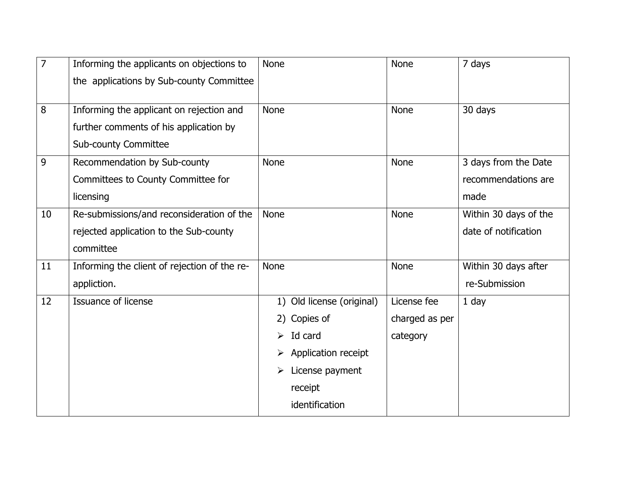| $\overline{7}$ | Informing the applicants on objections to    | <b>None</b>               | None           | 7 days                |
|----------------|----------------------------------------------|---------------------------|----------------|-----------------------|
|                | the applications by Sub-county Committee     |                           |                |                       |
|                |                                              |                           |                |                       |
| 8              | Informing the applicant on rejection and     | <b>None</b>               | <b>None</b>    | 30 days               |
|                | further comments of his application by       |                           |                |                       |
|                | <b>Sub-county Committee</b>                  |                           |                |                       |
| 9              | Recommendation by Sub-county                 | <b>None</b>               | <b>None</b>    | 3 days from the Date  |
|                | Committees to County Committee for           |                           |                | recommendations are   |
|                | licensing                                    |                           |                | made                  |
| 10             | Re-submissions/and reconsideration of the    | <b>None</b>               | None           | Within 30 days of the |
|                | rejected application to the Sub-county       |                           |                | date of notification  |
|                | committee                                    |                           |                |                       |
| 11             | Informing the client of rejection of the re- | <b>None</b>               | <b>None</b>    | Within 30 days after  |
|                | appliction.                                  |                           |                | re-Submission         |
| 12             | <b>Issuance of license</b>                   | 1) Old license (original) | License fee    | $1$ day               |
|                |                                              | 2) Copies of              | charged as per |                       |
|                |                                              | $\triangleright$ Id card  | category       |                       |
|                |                                              | Application receipt       |                |                       |
|                |                                              | License payment<br>➤      |                |                       |
|                |                                              | receipt                   |                |                       |
|                |                                              | identification            |                |                       |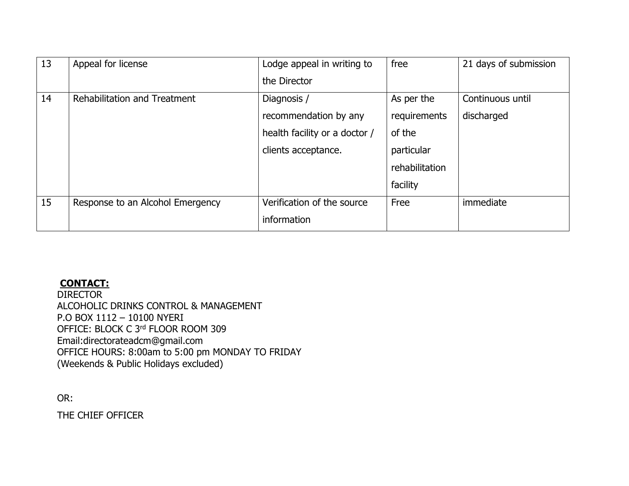| 13 | Appeal for license               | Lodge appeal in writing to    | free           | 21 days of submission |
|----|----------------------------------|-------------------------------|----------------|-----------------------|
|    |                                  | the Director                  |                |                       |
| 14 | Rehabilitation and Treatment     | Diagnosis /                   | As per the     | Continuous until      |
|    |                                  | recommendation by any         | requirements   | discharged            |
|    |                                  | health facility or a doctor / | of the         |                       |
|    |                                  | clients acceptance.           | particular     |                       |
|    |                                  |                               | rehabilitation |                       |
|    |                                  |                               | facility       |                       |
| 15 | Response to an Alcohol Emergency | Verification of the source    | Free           | immediate             |
|    |                                  | information                   |                |                       |

# **CONTACT:**

DIRECTOR ALCOHOLIC DRINKS CONTROL & MANAGEMENT P.O BOX 1112 – 10100 NYERI OFFICE: BLOCK C 3rd FLOOR ROOM 309 Email:directorateadcm@gmail.com OFFICE HOURS: 8:00am to 5:00 pm MONDAY TO FRIDAY (Weekends & Public Holidays excluded)

OR:

THE CHIEF OFFICER